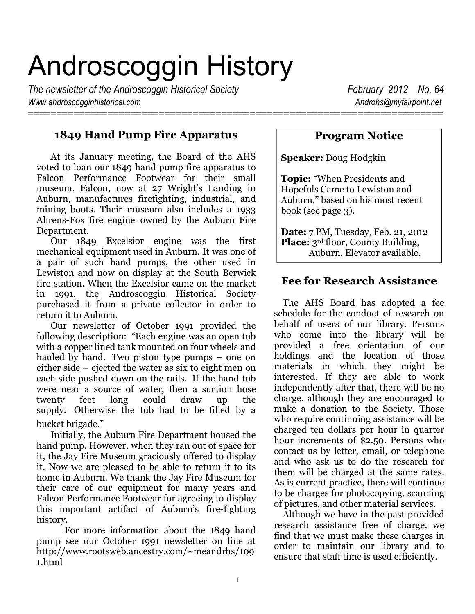# Androscoggin History

=========================================================================

*The newsletter of the Androscoggin Historical Society* **February 2012** No. 64 *Www.androscogginhistorical.com Androhs@myfairpoint.net*

# **1849 Hand Pump Fire Apparatus**

At its January meeting, the Board of the AHS voted to loan our 1849 hand pump fire apparatus to Falcon Performance Footwear for their small museum. Falcon, now at 27 Wright's Landing in Auburn, manufactures firefighting, industrial, and mining boots. Their museum also includes a 1933 Ahrens-Fox fire engine owned by the Auburn Fire Department.

Our 1849 Excelsior engine was the first mechanical equipment used in Auburn. It was one of a pair of such hand pumps, the other used in Lewiston and now on display at the South Berwick fire station. When the Excelsior came on the market in 1991, the Androscoggin Historical Society purchased it from a private collector in order to return it to Auburn.

Our newsletter of October 1991 provided the following description: "Each engine was an open tub with a copper lined tank mounted on four wheels and hauled by hand. Two piston type pumps – one on either side – ejected the water as six to eight men on each side pushed down on the rails. If the hand tub were near a source of water, then a suction hose twenty feet long could draw up the supply. Otherwise the tub had to be filled by a bucket brigade."

Initially, the Auburn Fire Department housed the hand pump. However, when they ran out of space for it, the Jay Fire Museum graciously offered to display it. Now we are pleased to be able to return it to its home in Auburn. We thank the Jay Fire Museum for their care of our equipment for many years and Falcon Performance Footwear for agreeing to display this important artifact of Auburn's fire-fighting history.

For more information about the 1849 hand pump see our October 1991 newsletter on line at http://www.rootsweb.ancestry.com/~meandrhs/109 1.html

## **Program Notice**

**Speaker:** Doug Hodgkin

**Topic:** "When Presidents and Hopefuls Came to Lewiston and Auburn," based on his most recent book (see page 3).

**Date:** 7 PM, Tuesday, Feb. 21, 2012 **Place:** 3<sup>rd</sup> floor, County Building, Auburn. Elevator available.

## **Fee for Research Assistance**

 The AHS Board has adopted a fee schedule for the conduct of research on behalf of users of our library. Persons who come into the library will be provided a free orientation of our holdings and the location of those materials in which they might be interested. If they are able to work independently after that, there will be no charge, although they are encouraged to make a donation to the Society. Those who require continuing assistance will be charged ten dollars per hour in quarter hour increments of \$2.50. Persons who contact us by letter, email, or telephone and who ask us to do the research for them will be charged at the same rates. As is current practice, there will continue to be charges for photocopying, scanning of pictures, and other material services.

 Although we have in the past provided research assistance free of charge, we find that we must make these charges in order to maintain our library and to ensure that staff time is used efficiently.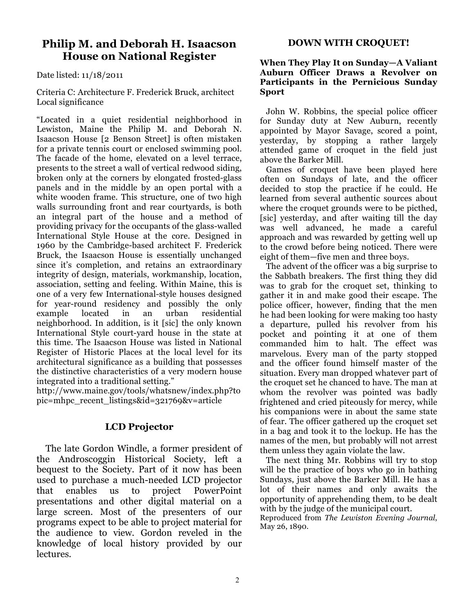## **Philip M. and Deborah H. Isaacson House on National Register**

Date listed: 11/18/2011

Criteria C: Architecture F. Frederick Bruck, architect Local significance

"Located in a quiet residential neighborhood in Lewiston, Maine the Philip M. and Deborah N. Isaacson House [2 Benson Street] is often mistaken for a private tennis court or enclosed swimming pool. The facade of the home, elevated on a level terrace, presents to the street a wall of vertical redwood siding, broken only at the corners by elongated frosted-glass panels and in the middle by an open portal with a white wooden frame. This structure, one of two high walls surrounding front and rear courtyards, is both an integral part of the house and a method of providing privacy for the occupants of the glass-walled International Style House at the core. Designed in 1960 by the Cambridge-based architect F. Frederick Bruck, the Isaacson House is essentially unchanged since it's completion, and retains an extraordinary integrity of design, materials, workmanship, location, association, setting and feeling. Within Maine, this is one of a very few International-style houses designed for year-round residency and possibly the only example located in an urban residential neighborhood. In addition, is it [sic] the only known International Style court-yard house in the state at this time. The Isaacson House was listed in National Register of Historic Places at the local level for its architectural significance as a building that possesses the distinctive characteristics of a very modern house integrated into a traditional setting."

http://www.maine.gov/tools/whatsnew/index.php?to pic=mhpc\_recent\_listings&id=321769&v=article

#### **LCD Projector**

 The late Gordon Windle, a former president of the Androscoggin Historical Society, left a bequest to the Society. Part of it now has been used to purchase a much-needed LCD projector that enables us to project PowerPoint presentations and other digital material on a large screen. Most of the presenters of our programs expect to be able to project material for the audience to view. Gordon reveled in the knowledge of local history provided by our lectures.

#### **DOWN WITH CROQUET!**

#### **When They Play It on Sunday—A Valiant Auburn Officer Draws a Revolver on Participants in the Pernicious Sunday Sport**

 John W. Robbins, the special police officer for Sunday duty at New Auburn, recently appointed by Mayor Savage, scored a point, yesterday, by stopping a rather largely attended game of croquet in the field just above the Barker Mill.

 Games of croquet have been played here often on Sundays of late, and the officer decided to stop the practice if he could. He learned from several authentic sources about where the croquet grounds were to be picthed, [sic] yesterday, and after waiting till the day was well advanced, he made a careful approach and was rewarded by getting well up to the crowd before being noticed. There were eight of them—five men and three boys.

 The advent of the officer was a big surprise to the Sabbath breakers. The first thing they did was to grab for the croquet set, thinking to gather it in and make good their escape. The police officer, however, finding that the men he had been looking for were making too hasty a departure, pulled his revolver from his pocket and pointing it at one of them commanded him to halt. The effect was marvelous. Every man of the party stopped and the officer found himself master of the situation. Every man dropped whatever part of the croquet set he chanced to have. The man at whom the revolver was pointed was badly frightened and cried piteously for mercy, while his companions were in about the same state of fear. The officer gathered up the croquet set in a bag and took it to the lockup. He has the names of the men, but probably will not arrest them unless they again violate the law.

 The next thing Mr. Robbins will try to stop will be the practice of boys who go in bathing Sundays, just above the Barker Mill. He has a lot of their names and only awaits the opportunity of apprehending them, to be dealt with by the judge of the municipal court.

Reproduced from *The Lewiston Evening Journal*, May 26, 1890.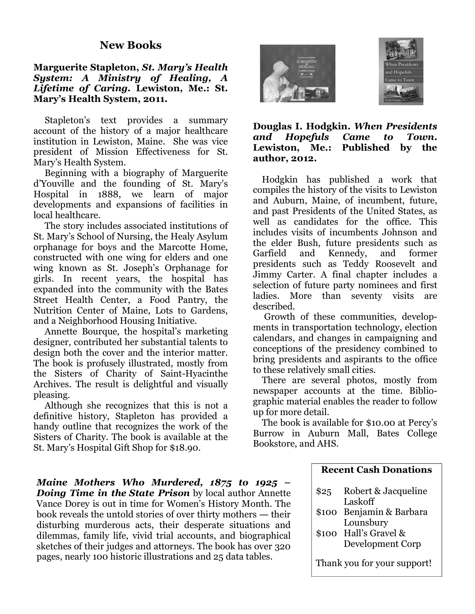## **Marguerite Stapleton,** *St. Mary's Health System: A Ministry of Healing, A Lifetime of Caring.* **Lewiston, Me.: St. Mary's Health System, 2011.**

 Stapleton's text provides a summary account of the history of a major healthcare institution in Lewiston, Maine. She was vice president of Mission Effectiveness for St. Mary's Health System.

 Beginning with a biography of Marguerite d'Youville and the founding of St. Mary's Hospital in 1888, we learn of major developments and expansions of facilities in local healthcare.

 The story includes associated institutions of St. Mary's School of Nursing, the Healy Asylum orphanage for boys and the Marcotte Home, constructed with one wing for elders and one wing known as St. Joseph's Orphanage for girls. In recent years, the hospital has expanded into the community with the Bates Street Health Center, a Food Pantry, the Nutrition Center of Maine, Lots to Gardens, and a Neighborhood Housing Initiative.

 Annette Bourque, the hospital's marketing designer, contributed her substantial talents to design both the cover and the interior matter. The book is profusely illustrated, mostly from the Sisters of Charity of Saint-Hyacinthe Archives. The result is delightful and visually pleasing.

 Although she recognizes that this is not a definitive history, Stapleton has provided a handy outline that recognizes the work of the Sisters of Charity. The book is available at the St. Mary's Hospital Gift Shop for \$18.90.

*Maine Mothers Who Murdered, 1875 to 1925 – Doing Time in the State Prison* by local author Annette Vance Dorey is out in time for Women's History Month. The book reveals the untold stories of over thirty mothers ― their disturbing murderous acts, their desperate situations and dilemmas, family life, vivid trial accounts, and biographical sketches of their judges and attorneys. The book has over 320 pages, nearly 100 historic illustrations and 25 data tables.





## **Douglas I. Hodgkin.** *When Presidents and Hopefuls Came to Town***. Lewiston, Me.: Published by the author, 2012.**

 Hodgkin has published a work that compiles the history of the visits to Lewiston and Auburn, Maine, of incumbent, future, and past Presidents of the United States, as well as candidates for the office. This includes visits of incumbents Johnson and the elder Bush, future presidents such as Garfield and Kennedy, and former presidents such as Teddy Roosevelt and Jimmy Carter. A final chapter includes a selection of future party nominees and first ladies. More than seventy visits are described.

 Growth of these communities, developments in transportation technology, election calendars, and changes in campaigning and conceptions of the presidency combined to bring presidents and aspirants to the office to these relatively small cities.

 There are several photos, mostly from newspaper accounts at the time. Bibliographic material enables the reader to follow up for more detail.

 The book is available for \$10.00 at Percy's Burrow in Auburn Mall, Bates College Bookstore, and AHS.

| \$25                        | Robert & Jacqueline      |  |
|-----------------------------|--------------------------|--|
|                             | Laskoff                  |  |
|                             | \$100 Benjamin & Barbara |  |
|                             | Lounsbury                |  |
|                             | \$100 Hall's Gravel &    |  |
|                             | Development Corp         |  |
| Thank you for your support! |                          |  |
|                             |                          |  |

**Recent Cash Donations**